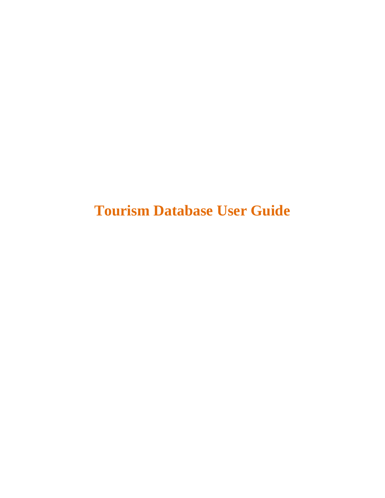**Tourism Database User Guide**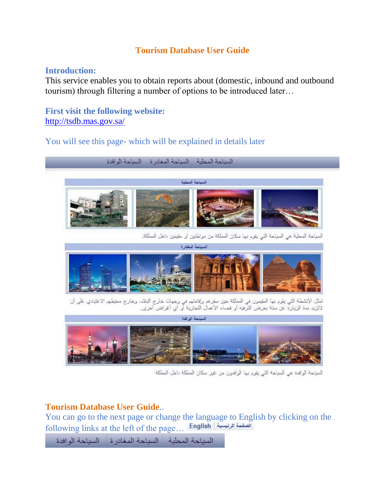## **Tourism Database User Guide**

## **Introduction:**

This service enables you to obtain reports about (domestic, inbound and outbound tourism) through filtering a number of options to be introduced later…

**First visit the following website:** <http://tsdb.mas.gov.sa/>

## You will see this page- which will be explained in details later



تمثل الأنشطة التي يقوم بها المقيمون في المملكة حين سفرهم وإقامتهم في وجهات خارج البلاد. وخارج محيطهم الاعتيادي على أن<br>لاتزيد مدة الزيارة عن سنة بغرض الترفيه أو قضاء الأعمال التجارية أو أي أغراض أخرى.



السياحة الوافدة هي السياحة التي يقوم بها الوافدون من غير سكان المملكة داخل المملكة

## **Tourism Database User Guide**..

You can go to the next page or change the language to English by clicking on the following links at the left of the page…

السياحة المحلية السياحة المغادرة السباحة الوافدة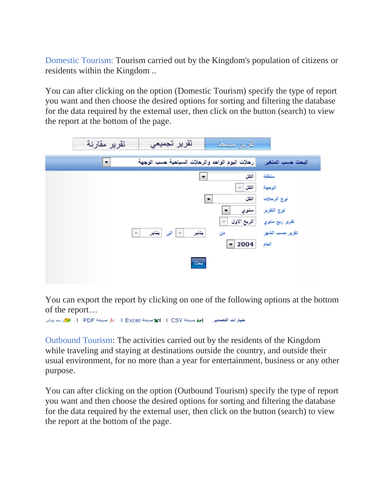Domestic Tourism: Tourism carried out by the Kingdom's population of citizens or residents within the Kingdom ..

You can after clicking on the option (Domestic Tourism) specify the type of report you want and then choose the desired options for sorting and filtering the database for the data required by the external user, then click on the button (search) to view the report at the bottom of the page.



You can export the report by clicking on one of the following options at the bottom of the report…

Outbound Tourism: The activities carried out by the residents of the Kingdom while traveling and staying at destinations outside the country, and outside their usual environment, for no more than a year for entertainment, business or any other purpose.

You can after clicking on the option (Outbound Tourism) specify the type of report you want and then choose the desired options for sorting and filtering the database for the data required by the external user, then click on the button (search) to view the report at the bottom of the page.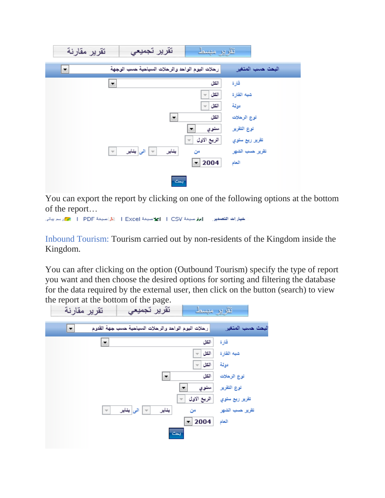

You can export the report by clicking on one of the following options at the bottom of the report…

خيارات التصدير . إبرار منبغة I CSV | الأعنبغة Excel | الأراضيغة PDF | المحركة التصدير المرابعة

Inbound Tourism: Tourism carried out by non-residents of the Kingdom inside the Kingdom.

You can after clicking on the option (Outbound Tourism) specify the type of report you want and then choose the desired options for sorting and filtering the database for the data required by the external user, then click on the button (search) to view the report at the bottom of the page.